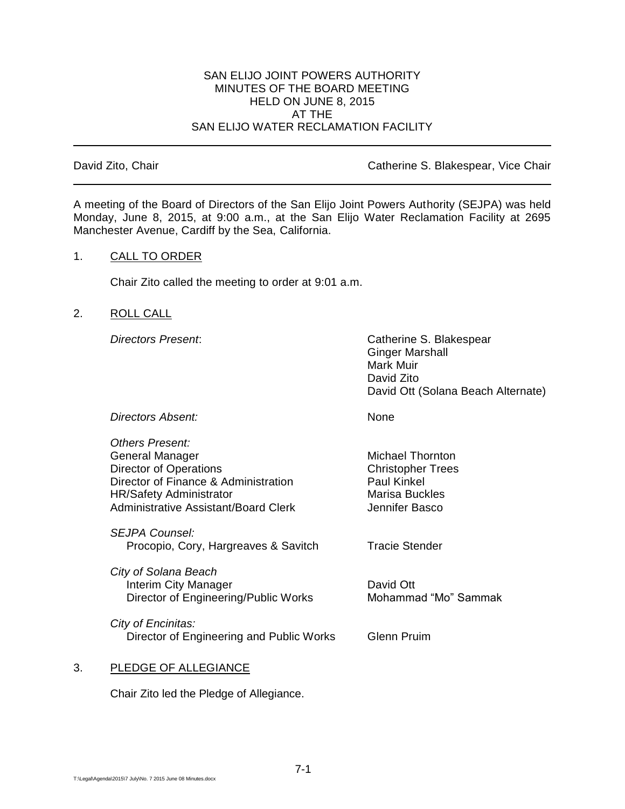#### SAN ELIJO JOINT POWERS AUTHORITY MINUTES OF THE BOARD MEETING HELD ON JUNE 8, 2015 AT THE SAN ELIJO WATER RECLAMATION FACILITY

## David Zito, Chair **Catherine S. Blakespear, Vice Chair** Catherine S. Blakespear, Vice Chair

A meeting of the Board of Directors of the San Elijo Joint Powers Authority (SEJPA) was held Monday, June 8, 2015, at 9:00 a.m., at the San Elijo Water Reclamation Facility at 2695 Manchester Avenue, Cardiff by the Sea, California.

## 1. CALL TO ORDER

Chair Zito called the meeting to order at 9:01 a.m.

## 2. ROLL CALL

*Directors Present*: Catherine S. Blakespear Ginger Marshall Mark Muir David Zito David Ott (Solana Beach Alternate)

**Directors Absent:** None

*Others Present:* General Manager Michael Thornton Director of Operations **Christopher Trees** Director of Finance & Administration Paul Kinkel HR/Safety Administrator Marisa Buckles Administrative Assistant/Board Clerk **Jennifer Basco** 

*SEJPA Counsel:* Procopio, Cory, Hargreaves & Savitch Tracie Stender

*City of Solana Beach* Interim City Manager<br>Director of Engineering/Public Works Mohammad "Mo" Sammak Director of Engineering/Public Works

*City of Encinitas:* Director of Engineering and Public Works Glenn Pruim

# 3. PLEDGE OF ALLEGIANCE

Chair Zito led the Pledge of Allegiance.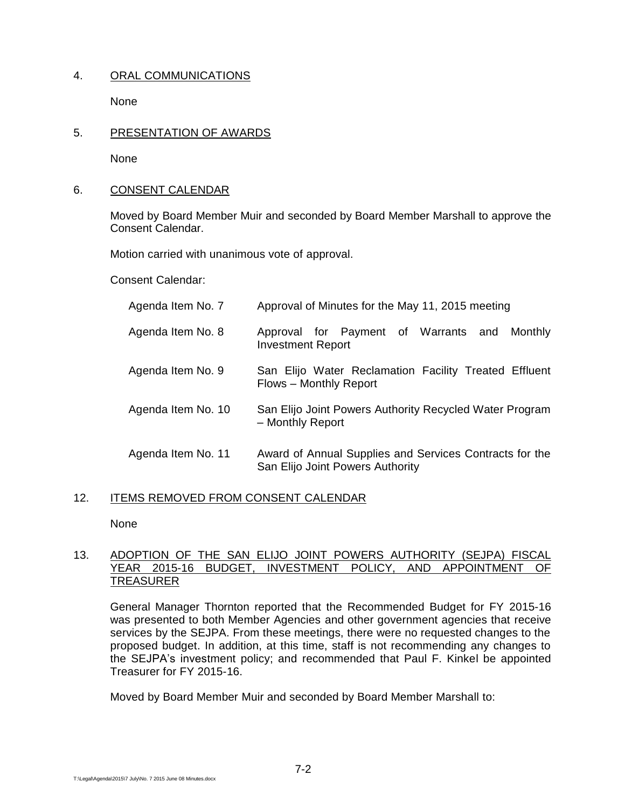# 4. ORAL COMMUNICATIONS

None

## 5. PRESENTATION OF AWARDS

None

## 6. CONSENT CALENDAR

Moved by Board Member Muir and seconded by Board Member Marshall to approve the Consent Calendar.

Motion carried with unanimous vote of approval.

Consent Calendar:

| Agenda Item No. 7  | Approval of Minutes for the May 11, 2015 meeting                                            |
|--------------------|---------------------------------------------------------------------------------------------|
| Agenda Item No. 8  | Approval for Payment of Warrants and<br>Monthly<br><b>Investment Report</b>                 |
| Agenda Item No. 9  | San Elijo Water Reclamation Facility Treated Effluent<br>Flows - Monthly Report             |
| Agenda Item No. 10 | San Elijo Joint Powers Authority Recycled Water Program<br>- Monthly Report                 |
| Agenda Item No. 11 | Award of Annual Supplies and Services Contracts for the<br>San Elijo Joint Powers Authority |

# 12. ITEMS REMOVED FROM CONSENT CALENDAR

None

## 13. ADOPTION OF THE SAN ELIJO JOINT POWERS AUTHORITY (SEJPA) FISCAL<br>YEAR 2015-16 BUDGET, INVESTMENT POLICY, AND APPOINTMENT OF YEAR 2015-16 BUDGET, INVESTMENT POLICY, AND APPOINTMENT OF TREASURER

General Manager Thornton reported that the Recommended Budget for FY 2015-16 was presented to both Member Agencies and other government agencies that receive services by the SEJPA. From these meetings, there were no requested changes to the proposed budget. In addition, at this time, staff is not recommending any changes to the SEJPA's investment policy; and recommended that Paul F. Kinkel be appointed Treasurer for FY 2015-16.

Moved by Board Member Muir and seconded by Board Member Marshall to: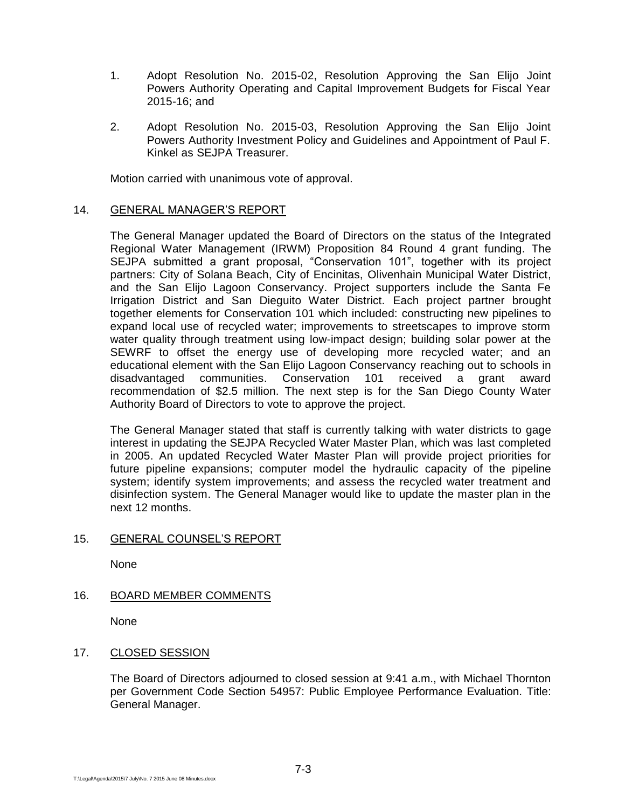- 1. Adopt Resolution No. 2015-02, Resolution Approving the San Elijo Joint Powers Authority Operating and Capital Improvement Budgets for Fiscal Year 2015-16; and
- 2. Adopt Resolution No. 2015-03, Resolution Approving the San Elijo Joint Powers Authority Investment Policy and Guidelines and Appointment of Paul F. Kinkel as SEJPA Treasurer.

Motion carried with unanimous vote of approval.

# 14. GENERAL MANAGER'S REPORT

The General Manager updated the Board of Directors on the status of the Integrated Regional Water Management (IRWM) Proposition 84 Round 4 grant funding. The SEJPA submitted a grant proposal, "Conservation 101", together with its proiect partners: City of Solana Beach, City of Encinitas, Olivenhain Municipal Water District, and the San Elijo Lagoon Conservancy. Project supporters include the Santa Fe Irrigation District and San Dieguito Water District. Each project partner brought together elements for Conservation 101 which included: constructing new pipelines to expand local use of recycled water; improvements to streetscapes to improve storm water quality through treatment using low-impact design; building solar power at the SEWRF to offset the energy use of developing more recycled water; and an educational element with the San Elijo Lagoon Conservancy reaching out to schools in disadvantaged communities. Conservation 101 received a grant award recommendation of \$2.5 million. The next step is for the San Diego County Water Authority Board of Directors to vote to approve the project.

The General Manager stated that staff is currently talking with water districts to gage interest in updating the SEJPA Recycled Water Master Plan, which was last completed in 2005. An updated Recycled Water Master Plan will provide project priorities for future pipeline expansions; computer model the hydraulic capacity of the pipeline system; identify system improvements; and assess the recycled water treatment and disinfection system. The General Manager would like to update the master plan in the next 12 months.

#### 15. GENERAL COUNSEL'S REPORT

None

# 16. BOARD MEMBER COMMENTS

None

# 17. CLOSED SESSION

The Board of Directors adjourned to closed session at 9:41 a.m., with Michael Thornton per Government Code Section 54957: Public Employee Performance Evaluation. Title: General Manager.